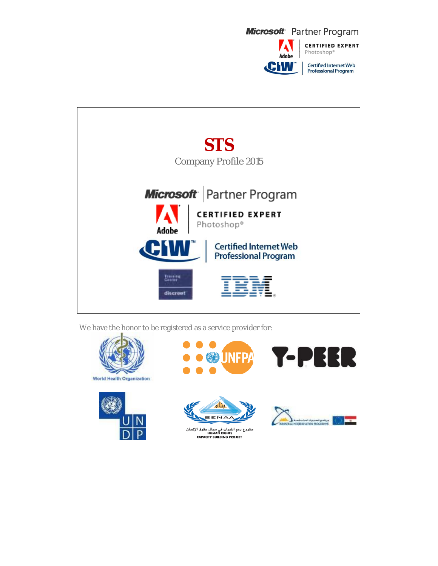



We have the honor to be registered as a service provider for:







**JNFPA** 

مشروع دعم القدرات في مجال حقوق الإنسان<br>HUMAN RIGHTS<br>CAPACITY BUILDING PROJECT



 $\mathbf{P}$ 

Ы

44

R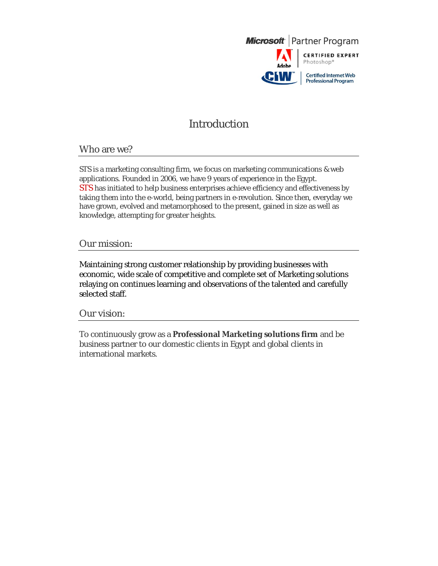

### Introduction

### Who are we?

STS is a marketing consulting firm, we focus on marketing communications & web applications. Founded in 2006, we have 9 years of experience in the Egypt. STS has initiated to help business enterprises achieve efficiency and effectiveness by taking them into the e-world, being partners in e-revolution. Since then, everyday we have grown, evolved and metamorphosed to the present, gained in size as well as knowledge, attempting for greater heights.

### Our mission:

Maintaining strong customer relationship by providing businesses with economic, wide scale of competitive and complete set of Marketing solutions relaying on continues learning and observations of the talented and carefully selected staff.

#### Our vision:

To continuously grow as a **Professional Marketing solutions firm** and be business partner to our domestic clients in Egypt and global clients in international markets.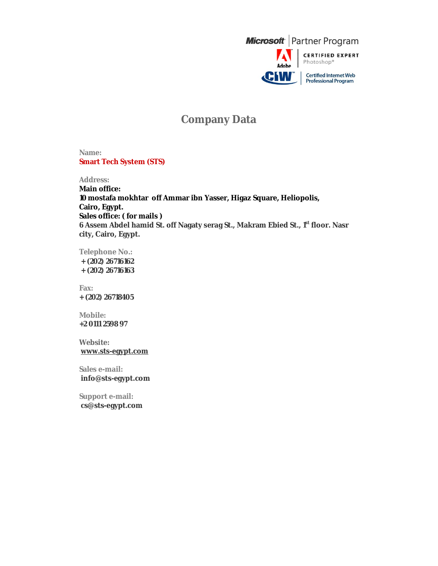

## **Company Data**

**Name: Smart Tech System (STS)**

**Address: Main office: 10 mostafa mokhtar off Ammar ibn Yasser, Higaz Square, Heliopolis, Cairo, Egypt. Sales office: ( for mails ) 6 Assem Abdel hamid St. off Nagaty serag St., Makram Ebied St., 1 st floor. Nasr city, Cairo, Egypt.**

**Telephone No.: + (202) 26716162 + (202) 26716163**

**Fax: + (202) 26718405**

**Mobile: +2 0111 2598 97**

**Website: www.sts-egypt.com**

**Sales e-mail: info@sts-egypt.com**

**Support e-mail: cs@sts-egypt.com**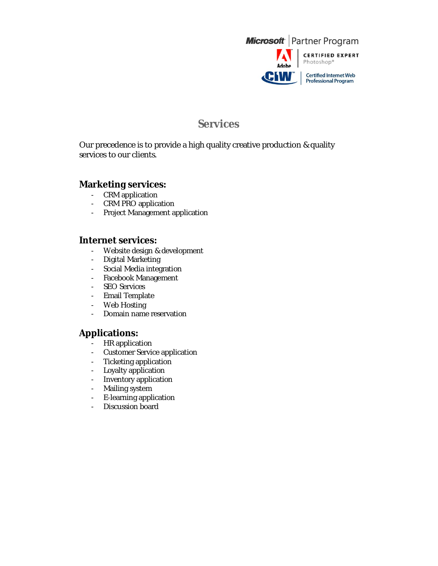

### **Services**

Our precedence is to provide a high quality creative production & quality services to our clients.

### **Marketing services:**

- CRM application
- CRM PRO application
- Project Management application

#### **Internet services:**

- Website design & development<br>- Digital Marketing
- Digital Marketing
- Social Media integration
- Facebook Management
- SEO Services
- Email Template
- Web Hosting
- Domain name reservation

### **Applications:**

- HR application
- Customer Service application
- Ticketing application
- Loyalty application
- Inventory application
- Mailing system
- E-learning application
- Discussion board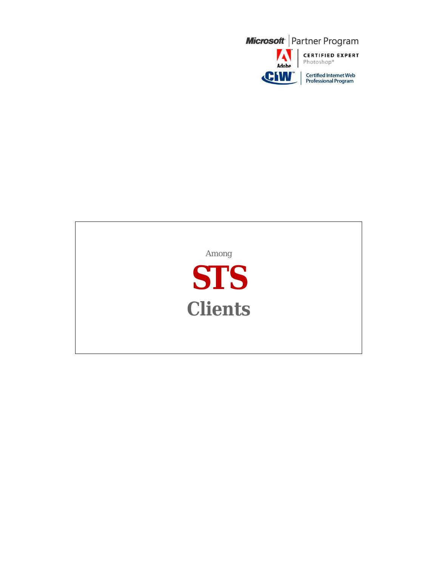

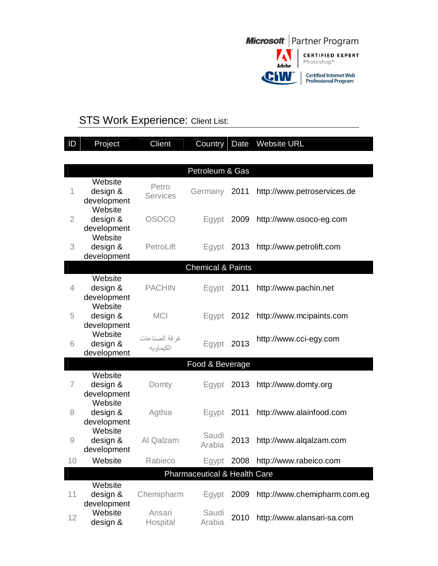

# **STS Work Experience: Client List:**

| $\mathsf{ID}$  | Project                                       | Client                     | Country                      | Date | <b>Website URL</b>           |  |
|----------------|-----------------------------------------------|----------------------------|------------------------------|------|------------------------------|--|
|                |                                               |                            |                              |      |                              |  |
|                |                                               |                            | Petroleum & Gas              |      |                              |  |
| 1              | Website<br>design &<br>development            | Petro<br><b>Services</b>   | Germany                      | 2011 | http://www.petroservices.de  |  |
| $\overline{2}$ | Website<br>design &<br>development<br>Website | <b>OSOCO</b>               | Egypt                        | 2009 | http://www.osoco-eg.com      |  |
| 3              | design &<br>development                       | PetroLift                  | Egypt                        | 2013 | http://www.petrolift.com     |  |
|                |                                               |                            | <b>Chemical &amp; Paints</b> |      |                              |  |
| $\overline{4}$ | Website<br>design &<br>development            | <b>PACHIN</b>              | Egypt                        | 2011 | http://www.pachin.net        |  |
| 5              | Website<br>design &<br>development            | <b>MCI</b>                 | Egypt                        | 2012 | http://www.mcipaints.com     |  |
| 6              | Website<br>design &<br>development            | غرفة الصناعات<br>الكيماويه | Egypt                        | 2013 | http://www.cci-egy.com       |  |
|                |                                               |                            | Food & Beverage              |      |                              |  |
| $\overline{7}$ | Website<br>design &<br>development            | Domty                      | Egypt                        | 2013 | http://www.domty.org         |  |
| 8              | Website<br>design &<br>development            | Agthia                     | Egypt                        | 2011 | http://www.alainfood.com     |  |
| 9              | Website<br>design &<br>development            | Al Qalzam                  | Saudi<br>Arabia              | 2013 | http://www.alqalzam.com      |  |
| 10             | Website                                       | Rabieco                    | Egypt                        |      | 2008 http://www.rabeico.com  |  |
|                | Pharmaceutical & Health Care                  |                            |                              |      |                              |  |
| 11             | Website<br>design &<br>development            | Chemipharm                 | Egypt                        | 2009 | http://www.chemipharm.com.eg |  |
| 12             | Website<br>design &                           | Ansari<br>Hospital         | Saudi<br>Arabia              | 2010 | http://www.alansari-sa.com   |  |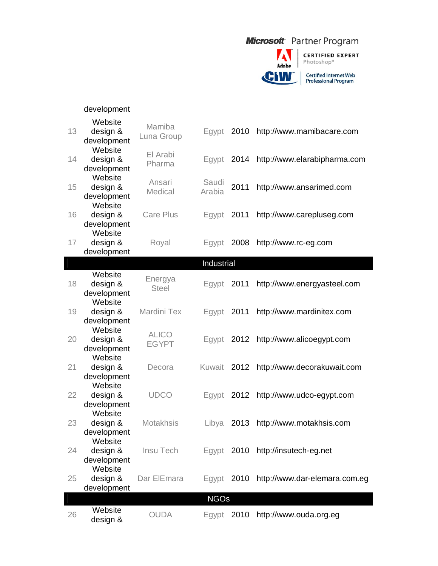

|             | development                        |                              |                 |      |                               |
|-------------|------------------------------------|------------------------------|-----------------|------|-------------------------------|
| 13          | Website<br>design &<br>development | Mamiba<br>Luna Group         | Egypt           | 2010 | http://www.mamibacare.com     |
| 14          | Website<br>design &<br>development | El Arabi<br>Pharma           | Egypt           | 2014 | http://www.elarabipharma.com  |
| 15          | Website<br>design &<br>development | Ansari<br>Medical            | Saudi<br>Arabia | 2011 | http://www.ansarimed.com      |
| 16          | Website<br>design &<br>development | <b>Care Plus</b>             | Egypt           | 2011 | http://www.carepluseg.com     |
| 17          | Website<br>design &<br>development | Royal                        | Egypt           | 2008 | http://www.rc-eg.com          |
|             |                                    |                              | Industrial      |      |                               |
| 18          | Website<br>design &<br>development | Energya<br><b>Steel</b>      | Egypt           | 2011 | http://www.energyasteel.com   |
| 19          | Website<br>design &<br>development | Mardini Tex                  | Egypt           | 2011 | http://www.mardinitex.com     |
| 20          | Website<br>design &<br>development | <b>ALICO</b><br><b>EGYPT</b> | Egypt           | 2012 | http://www.alicoegypt.com     |
| 21          | Website<br>design &<br>development | Decora                       | Kuwait          | 2012 | http://www.decorakuwait.com   |
| 22          | Website<br>design &<br>development | <b>UDCO</b>                  | Egypt           | 2012 | http://www.udco-egypt.com     |
| 23          | Website<br>design &<br>development | Motakhsis                    | Libya           | 2013 | http://www.motakhsis.com      |
| 24          | Website<br>design &<br>development | Insu Tech                    | Egypt           |      | 2010 http://insutech-eg.net   |
| 25          | Website<br>design &<br>development | Dar ElEmara                  | Egypt           | 2010 | http://www.dar-elemara.com.eg |
| <b>NGOs</b> |                                    |                              |                 |      |                               |
| 26          | Website<br>design &                | <b>OUDA</b>                  | Egypt 2010      |      | http://www.ouda.org.eg        |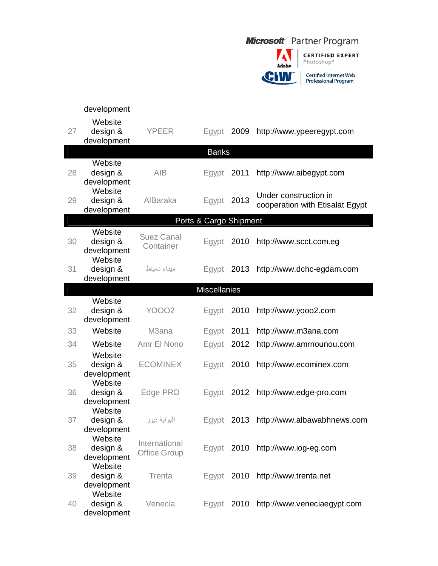

|    | development                                   |                                      |                        |      |                                                          |
|----|-----------------------------------------------|--------------------------------------|------------------------|------|----------------------------------------------------------|
| 27 | Website<br>design &<br>development            | <b>YPEER</b>                         | Egypt                  | 2009 | http://www.ypeeregypt.com                                |
|    |                                               |                                      | <b>Banks</b>           |      |                                                          |
| 28 | Website<br>design &<br>development            | <b>AIB</b>                           | Egypt 2011             |      | http://www.aibegypt.com                                  |
| 29 | Website<br>design &<br>development            | AlBaraka                             | Egypt                  | 2013 | Under construction in<br>cooperation with Etisalat Egypt |
|    |                                               |                                      | Ports & Cargo Shipment |      |                                                          |
| 30 | Website<br>design &<br>development            | <b>Suez Canal</b><br>Container       | Egypt                  | 2010 | http://www.scct.com.eg                                   |
| 31 | Website<br>design &<br>development            | ميناء دمياط                          | Egypt                  | 2013 | http://www.dchc-egdam.com                                |
|    |                                               |                                      | <b>Miscellanies</b>    |      |                                                          |
| 32 | Website<br>design &<br>development            | <b>YOOO2</b>                         | Egypt                  | 2010 | http://www.yooo2.com                                     |
| 33 | Website                                       | M <sub>3</sub> ana                   | Egypt                  | 2011 | http://www.m3ana.com                                     |
| 34 | Website                                       | Amr El Nono                          | Egypt                  | 2012 | http://www.amrnounou.com                                 |
| 35 | Website<br>design &<br>development<br>Website | <b>ECOMINEX</b>                      | Egypt                  | 2010 | http://www.ecominex.com                                  |
| 36 | design &<br>development                       | Edge PRO                             | Egypt                  | 2012 | http://www.edge-pro.com                                  |
| 37 | Website<br>design &<br>development            | البوابة نيوز                         | Egypt                  | 2013 | http://www.albawabhnews.com                              |
| 38 | Website<br>design &<br>development<br>Website | International<br><b>Office Group</b> |                        |      | Egypt 2010 http://www.iog-eg.com                         |
| 39 | design &<br>development                       | Trenta                               | Egypt                  | 2010 | http://www.trenta.net                                    |
| 40 | Website<br>design &<br>development            | Venecia                              | Egypt $2010$           |      | http://www.veneciaegypt.com                              |